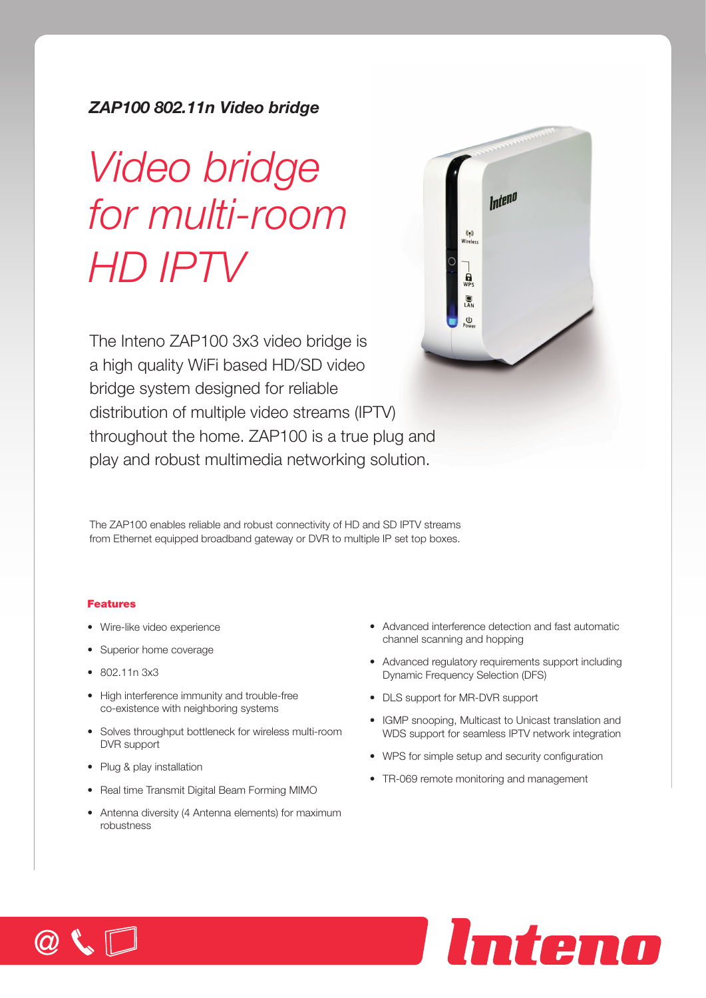# *ZAP100 802.11n Video bridge*

# *Video bridge for multi-room HD IPTV*



The Inteno ZAP100 3x3 video bridge is a high quality WiFi based HD/SD video bridge system designed for reliable distribution of multiple video streams (IPTV) throughout the home. ZAP100 is a true plug and play and robust multimedia networking solution.

The ZAP100 enables reliable and robust connectivity of HD and SD IPTV streams from Ethernet equipped broadband gateway or DVR to multiple IP set top boxes.

# Features

- • Wire-like video experience
- Superior home coverage
- • 802.11n 3x3
- High interference immunity and trouble-free co-existence with neighboring systems
- Solves throughput bottleneck for wireless multi-room DVR support
- Plug & play installation
- Real time Transmit Digital Beam Forming MIMO
- Antenna diversity (4 Antenna elements) for maximum robustness
- Advanced interference detection and fast automatic channel scanning and hopping
- Advanced requiatory requirements support including Dynamic Frequency Selection (DFS)
- DLS support for MR-DVR support
- IGMP snooping, Multicast to Unicast translation and WDS support for seamless IPTV network integration

Inteno

- WPS for simple setup and security configuration
- TR-069 remote monitoring and management